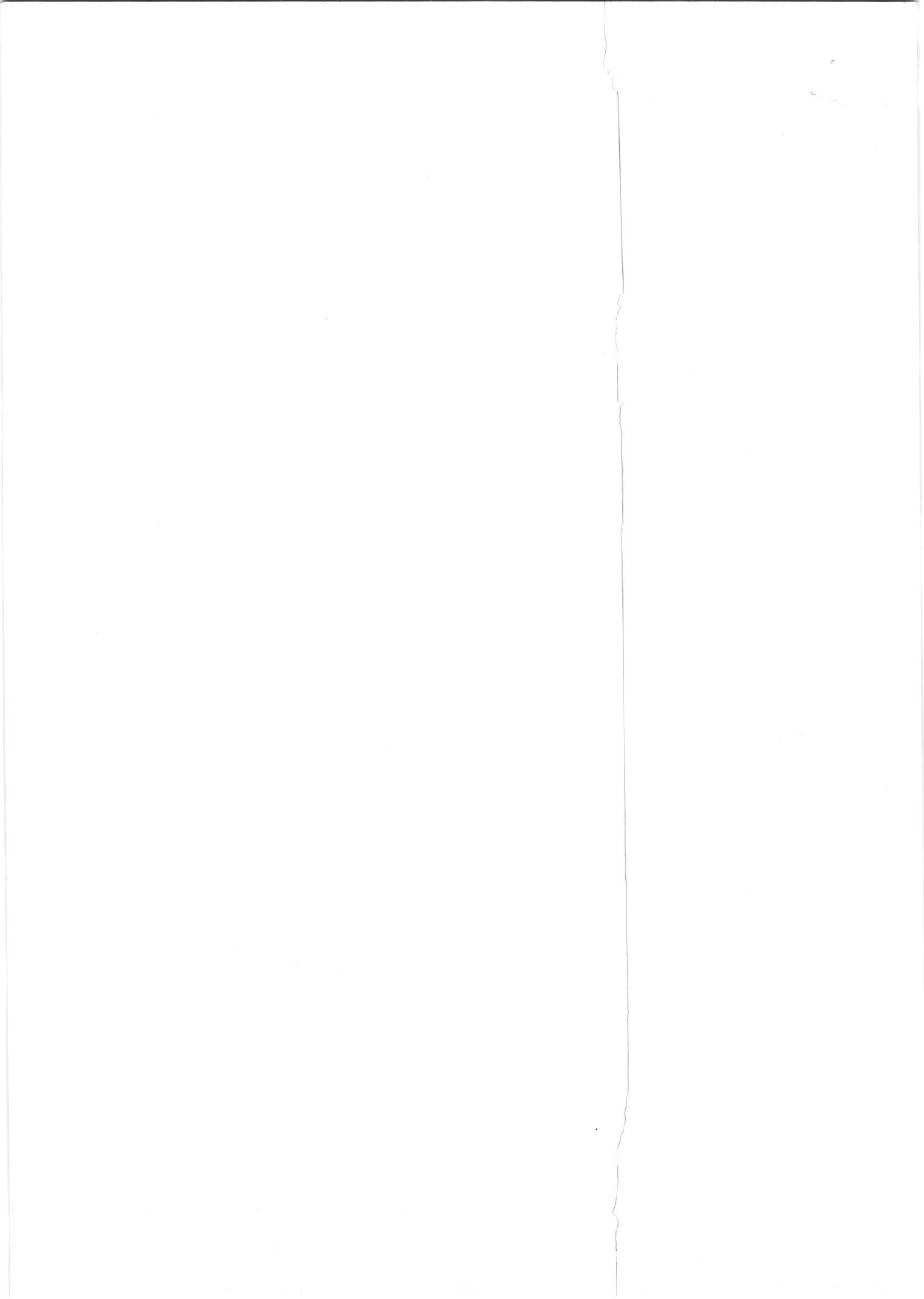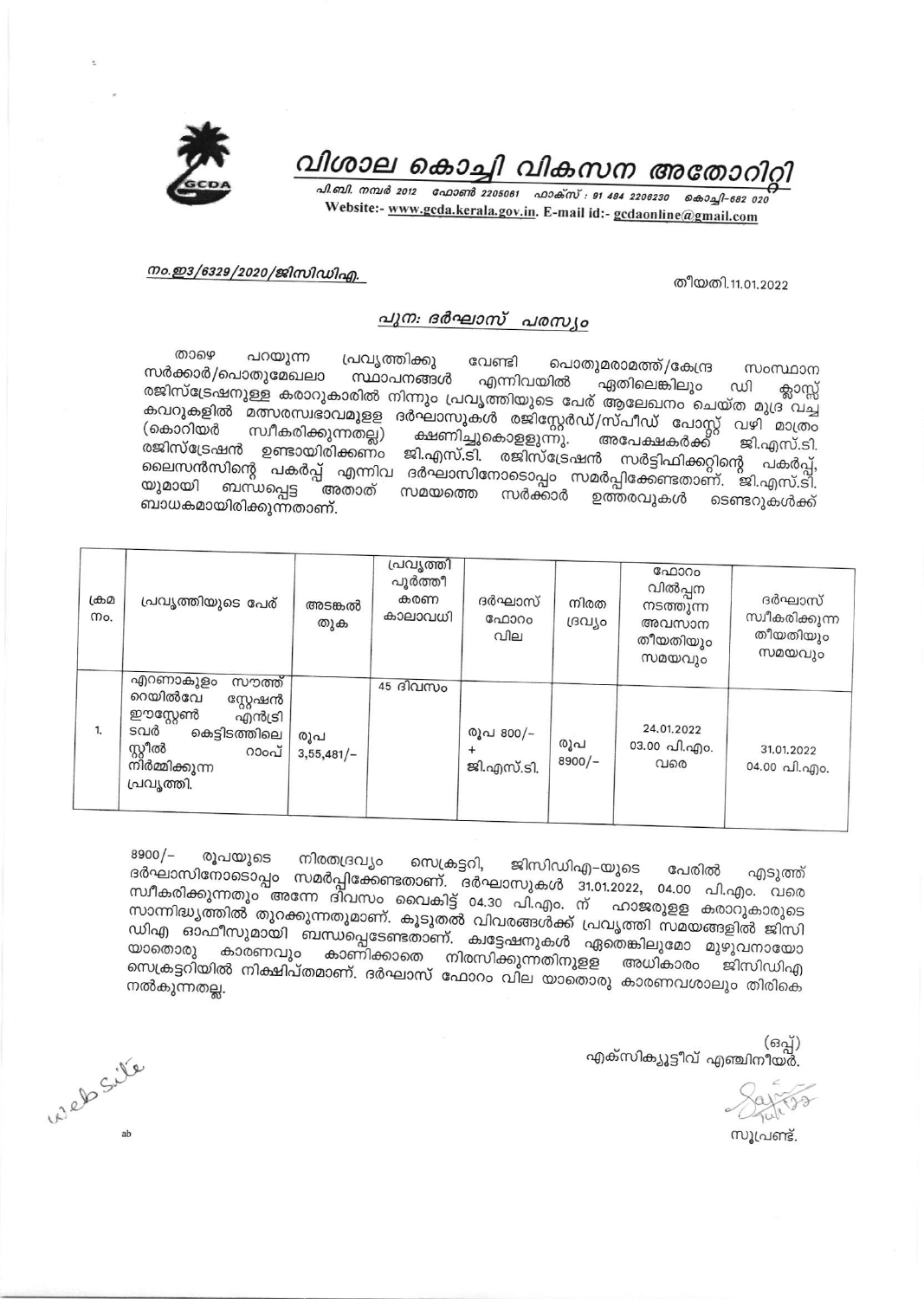

## വിശാല കൊച്ചി വികസന അതോറിറ്റി

പി.ബി. നമ്പർ 2012 - ഫോണ്ട് 2205061 - ഫാക്സ് : 91 484 2206230 - കൊച്ചി-682 020 Website:- www.gcda.kerala.gov.in. E-mail id:- gcdaonline@gmail.com

## നം.ഇ3/6329/2020/ജിസിഡിഎ.

തീയതി.11.01.2022

## പുന: ദർഘാസ് പരസ്യം

താഴെ പറയുന്ന പ്രവൃത്തിക്കു വേണ്ടി പൊതുമരാമത്ത്/കേന്ദ്ര സംസ്ഥാന സർക്കാർ/പൊതുമേഖലാ സ്ഥാപനങ്ങൾ എന്നിവയിൽ ഏതിലെങ്കിലും രജിസ്ട്രേഷനുള്ള കരാറുകാരിൽ നിന്നും പ്രവൃത്തിയുടെ പേര് ആലേഖനം ചെയ്ത മുദ്ര വച്ച ഡി "<br>കവറുകളിൽ മത്സരസ്വഭാവമുളള ദർഘാസുകൾ രജിസ്റ്റേർഡ്/സ്പീഡ് പോസ്റ്റ് വഴി മാത്രം സ്വീകരിക്കുന്നതല്ല) ക്ഷണിച്ചുകൊളളുന്നു. അപേക്ഷകർക്ക് ജി.എസ്.ടി. രജിസ്ട്രേഷൻ ഉണ്ടായിരിക്കണം ജി.എസ്.ടി. രജിസ്ട്രേഷൻ സർട്ടിഫിക്കറ്റിന്റെ പകർപ്പ്, ലൈസൻസിന്റെ പകർപ്പ് എന്നിവ ദർഘാസിനോടൊപ്പം സമർപ്പിക്കേണ്ടതാണ്. ജി.എസ്.ടി. ബന്ധപ്പെട്ട അതാത് സമയത്തെ സർക്കാർ ഉത്തരവുകൾ ടെണ്ടറുകൾക്ക് ബാധകമായിരിക്കുന്നതാണ്.

| ക്രമ<br>Mo. | പ്രവൃത്തിയുടെ പേര്                                                                                                                          | അടങ്കൽ<br>തുക       | പ്രവൃത്തി<br>പൂർത്തീ<br>കരണ<br>കാലാവധി | ദർഘാസ്<br>ഫോറം<br>വില             | നിരത<br>ദ്രവ്യം | ഫോറം<br>വിൽപ്പന<br>നടത്തുന്ന<br>അവസാന<br>തീയതിയും<br>സമയവും | ദർഘാസ്<br>സ്വീകരിക്കുന്ന<br>തീയതിയും<br>സമയവും |
|-------------|---------------------------------------------------------------------------------------------------------------------------------------------|---------------------|----------------------------------------|-----------------------------------|-----------------|-------------------------------------------------------------|------------------------------------------------|
| 1.          | എറണാകുളം<br>സൗത്ത്<br>റെയിൽവേ<br>സ്റ്റേഷൻ<br>ഈസ്റ്റേൺ<br>എൻട്രി<br>ടവർ<br>കെട്ടിടത്തിലെ<br>സ്റ്റീൽ<br>റാംപ്<br>നിർമ്മിക്കുന്ന<br>പ്രവൃത്തി. | രൂപ<br>$3,55,481/-$ | 45 ദിവസം                               | രൂപ 800/-<br>$^{+}$<br>ജി.എസ്.ടി. | രൂപ<br>$8900/-$ | 24.01.2022<br>03.00 പി.എം.<br>വരെ                           | 31.01.2022<br>04.00 പി.എം.                     |

 $8900/-$ രൂപയുടെ നിരതദ്രവ്യം സെക്രട്ടറി, ജിസിഡിഎ–യുടെ ദർഘാസിനോടൊപ്പം സമർപ്പിക്കേണ്ടതാണ്. ദർഘാസുകൾ 31.01.2022, 04.00 പി.എം. വരെ സ്ഥീകരിക്കുന്നതും അന്നേ ദിവസം വൈകിട്ട് 04.30 പി.എം. ന് ഹാജരുളള കരാറുകാരുടെ സാന്നിദ്ധ്യത്തിൽ തുറക്കുന്നതുമാണ്. കൂടുതൽ വിവരങ്ങൾക്ക് പ്രവൃത്തി സമയങ്ങളിൽ ജിസി ഡിഎ ഓഫീസുമായി ബന്ധപ്പെടേണ്ടതാണ്. ക്വട്ടേഷനുകൾ ഏതെങ്കിലുമോ മുഴുവനായോ യാതൊരു കാരണവും കാണിക്കാതെ നിരസിക്കുന്നതിനുളള അധികാരം സെക്രട്ടറിയിൽ നിക്ഷിപ്തമാണ്. ദർഘാസ് ഫോറം വില യാതൊരു കാരണവശാലും തിരികെ നൽകുന്നതല്ല.

> (ഒപ്പ്) എക്സിക്യൂട്ടീവ് എഞ്ചിനീയർ.

സൂപ്രണ്ട്.

website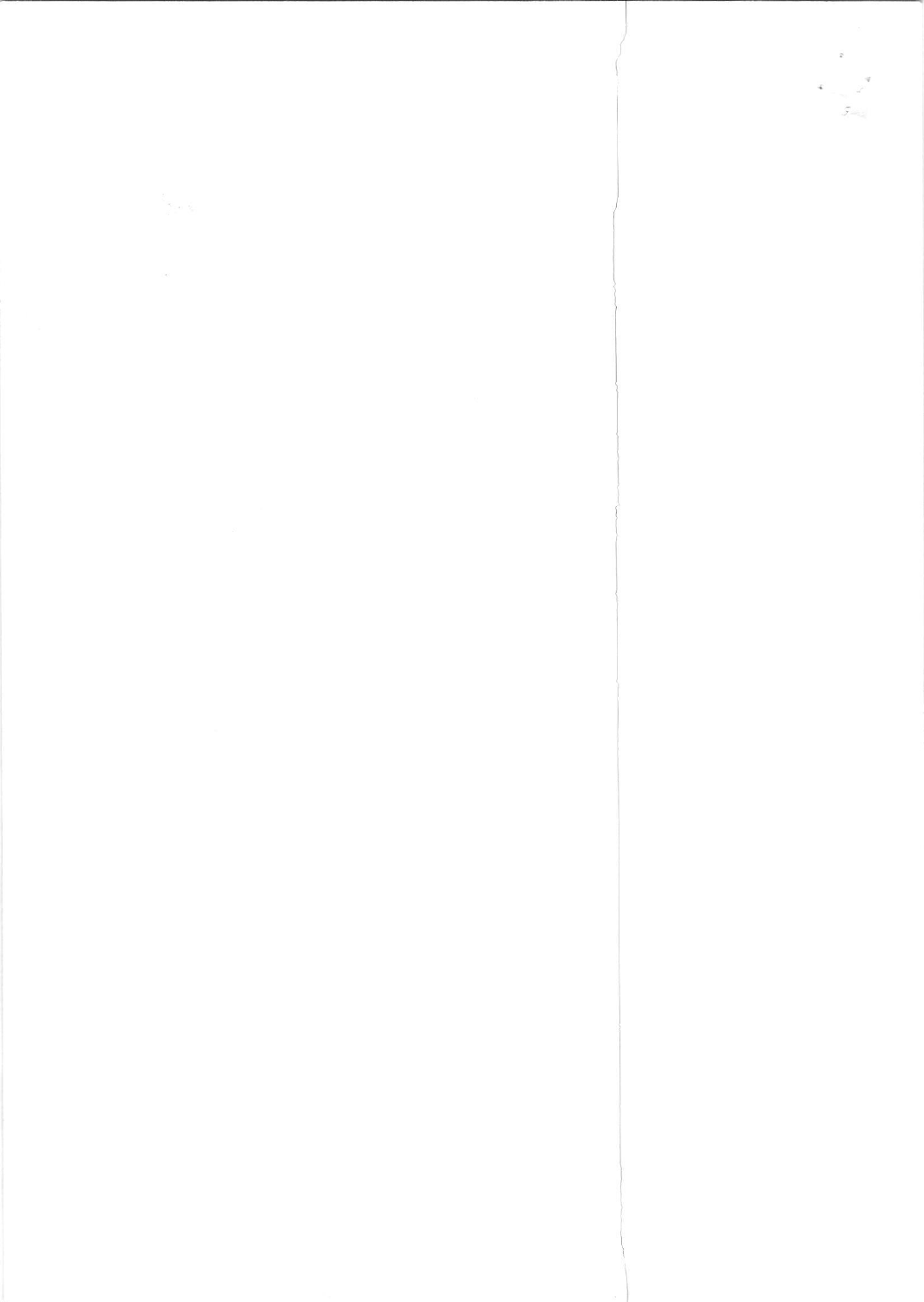